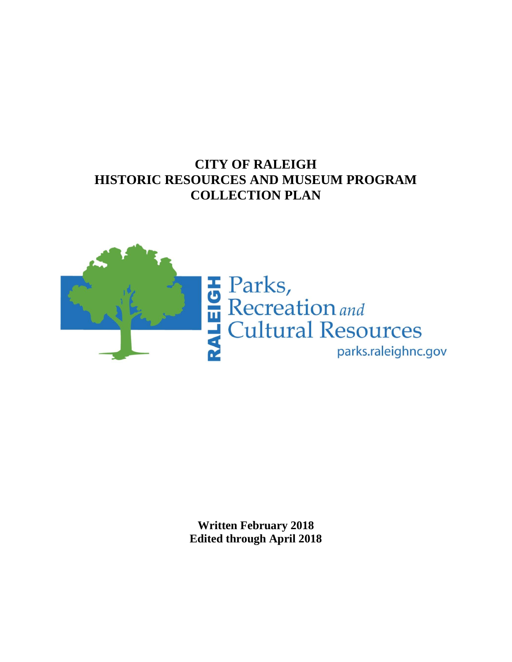## **CITY OF RALEIGH HISTORIC RESOURCES AND MUSEUM PROGRAM COLLECTION PLAN**



**Written February 2018 Edited through April 2018**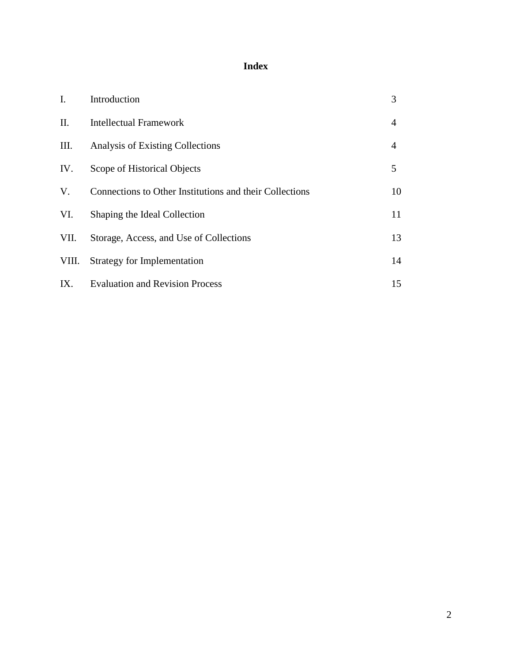## **Index**

| $\mathbf{I}$ . | Introduction                                            | 3              |
|----------------|---------------------------------------------------------|----------------|
| П.             | <b>Intellectual Framework</b>                           | $\overline{4}$ |
| III.           | Analysis of Existing Collections                        | $\overline{4}$ |
| IV.            | Scope of Historical Objects                             | 5              |
| V.             | Connections to Other Institutions and their Collections | 10             |
| VI.            | Shaping the Ideal Collection                            | 11             |
| VII.           | Storage, Access, and Use of Collections                 | 13             |
| VIII.          | <b>Strategy for Implementation</b>                      | 14             |
| IX.            | <b>Evaluation and Revision Process</b>                  | 15             |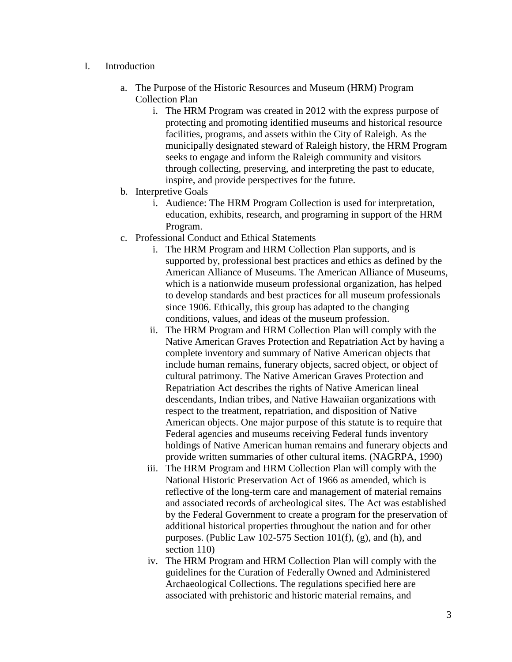- I. Introduction
	- a. The Purpose of the Historic Resources and Museum (HRM) Program Collection Plan
		- i. The HRM Program was created in 2012 with the express purpose of protecting and promoting identified museums and historical resource facilities, programs, and assets within the City of Raleigh. As the municipally designated steward of Raleigh history, the HRM Program seeks to engage and inform the Raleigh community and visitors through collecting, preserving, and interpreting the past to educate, inspire, and provide perspectives for the future.
	- b. Interpretive Goals
		- i. Audience: The HRM Program Collection is used for interpretation, education, exhibits, research, and programing in support of the HRM Program.
	- c. Professional Conduct and Ethical Statements
		- i. The HRM Program and HRM Collection Plan supports, and is supported by, professional best practices and ethics as defined by the American Alliance of Museums. The American Alliance of Museums, which is a nationwide museum professional organization, has helped to develop standards and best practices for all museum professionals since 1906. Ethically, this group has adapted to the changing conditions, values, and ideas of the museum profession.
		- ii. The HRM Program and HRM Collection Plan will comply with the Native American Graves Protection and Repatriation Act by having a complete inventory and summary of Native American objects that include human remains, funerary objects, sacred object, or object of cultural patrimony. The Native American Graves Protection and Repatriation Act describes the rights of Native American lineal descendants, Indian tribes, and Native Hawaiian organizations with respect to the treatment, repatriation, and disposition of Native American objects. One major purpose of this statute is to require that Federal agencies and museums receiving Federal funds inventory holdings of Native American human remains and funerary objects and provide written summaries of other cultural items. (NAGRPA, 1990)
		- iii. The HRM Program and HRM Collection Plan will comply with the National Historic Preservation Act of 1966 as amended, which is reflective of the long-term care and management of material remains and associated records of archeological sites. The Act was established by the Federal Government to create a program for the preservation of additional historical properties throughout the nation and for other purposes. (Public Law 102-575 Section 101(f), (g), and (h), and section 110)
		- iv. The HRM Program and HRM Collection Plan will comply with the guidelines for the Curation of Federally Owned and Administered Archaeological Collections. The regulations specified here are associated with prehistoric and historic material remains, and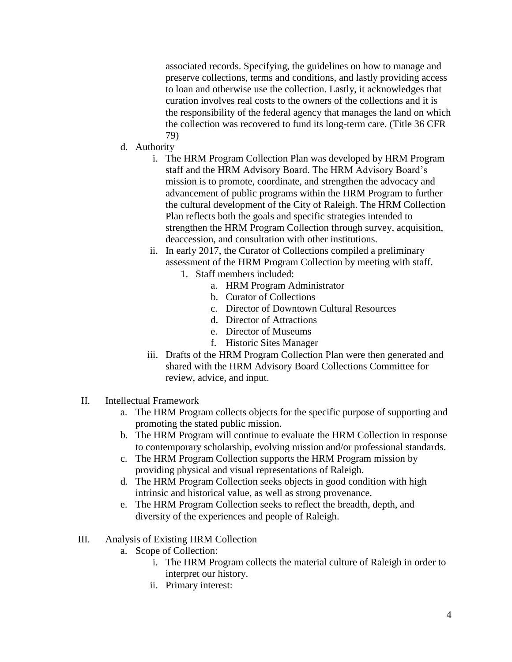associated records. Specifying, the guidelines on how to manage and preserve collections, terms and conditions, and lastly providing access to loan and otherwise use the collection. Lastly, it acknowledges that curation involves real costs to the owners of the collections and it is the responsibility of the federal agency that manages the land on which the collection was recovered to fund its long-term care. (Title 36 CFR 79)

- d. Authority
	- i. The HRM Program Collection Plan was developed by HRM Program staff and the HRM Advisory Board. The HRM Advisory Board's mission is to promote, coordinate, and strengthen the advocacy and advancement of public programs within the HRM Program to further the cultural development of the City of Raleigh. The HRM Collection Plan reflects both the goals and specific strategies intended to strengthen the HRM Program Collection through survey, acquisition, deaccession, and consultation with other institutions.
	- ii. In early 2017, the Curator of Collections compiled a preliminary assessment of the HRM Program Collection by meeting with staff.
		- 1. Staff members included:
			- a. HRM Program Administrator
			- b. Curator of Collections
			- c. Director of Downtown Cultural Resources
			- d. Director of Attractions
			- e. Director of Museums
			- f. Historic Sites Manager
	- iii. Drafts of the HRM Program Collection Plan were then generated and shared with the HRM Advisory Board Collections Committee for review, advice, and input.
- II. Intellectual Framework
	- a. The HRM Program collects objects for the specific purpose of supporting and promoting the stated public mission.
	- b. The HRM Program will continue to evaluate the HRM Collection in response to contemporary scholarship, evolving mission and/or professional standards.
	- c. The HRM Program Collection supports the HRM Program mission by providing physical and visual representations of Raleigh.
	- d. The HRM Program Collection seeks objects in good condition with high intrinsic and historical value, as well as strong provenance.
	- e. The HRM Program Collection seeks to reflect the breadth, depth, and diversity of the experiences and people of Raleigh.
- III. Analysis of Existing HRM Collection
	- a. Scope of Collection:
		- i. The HRM Program collects the material culture of Raleigh in order to interpret our history.
		- ii. Primary interest: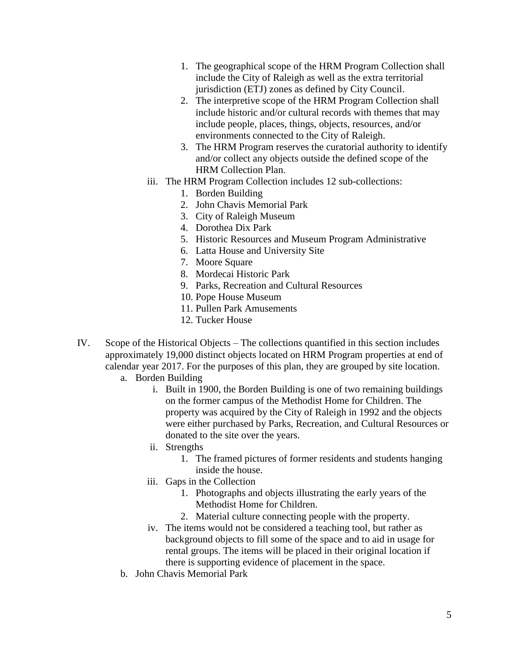- 1. The geographical scope of the HRM Program Collection shall include the City of Raleigh as well as the extra territorial jurisdiction (ETJ) zones as defined by City Council.
- 2. The interpretive scope of the HRM Program Collection shall include historic and/or cultural records with themes that may include people, places, things, objects, resources, and/or environments connected to the City of Raleigh.
- 3. The HRM Program reserves the curatorial authority to identify and/or collect any objects outside the defined scope of the HRM Collection Plan.
- iii. The HRM Program Collection includes 12 sub-collections:
	- 1. Borden Building
	- 2. John Chavis Memorial Park
	- 3. City of Raleigh Museum
	- 4. Dorothea Dix Park
	- 5. Historic Resources and Museum Program Administrative
	- 6. Latta House and University Site
	- 7. Moore Square
	- 8. Mordecai Historic Park
	- 9. Parks, Recreation and Cultural Resources
	- 10. Pope House Museum
	- 11. Pullen Park Amusements
	- 12. Tucker House
- IV. Scope of the Historical Objects The collections quantified in this section includes approximately 19,000 distinct objects located on HRM Program properties at end of calendar year 2017. For the purposes of this plan, they are grouped by site location.
	- a. Borden Building
		- i. Built in 1900, the Borden Building is one of two remaining buildings on the former campus of the Methodist Home for Children. The property was acquired by the City of Raleigh in 1992 and the objects were either purchased by Parks, Recreation, and Cultural Resources or donated to the site over the years.
		- ii. Strengths
			- 1. The framed pictures of former residents and students hanging inside the house.
		- iii. Gaps in the Collection
			- 1. Photographs and objects illustrating the early years of the Methodist Home for Children.
			- 2. Material culture connecting people with the property.
		- iv. The items would not be considered a teaching tool, but rather as background objects to fill some of the space and to aid in usage for rental groups. The items will be placed in their original location if there is supporting evidence of placement in the space.
	- b. John Chavis Memorial Park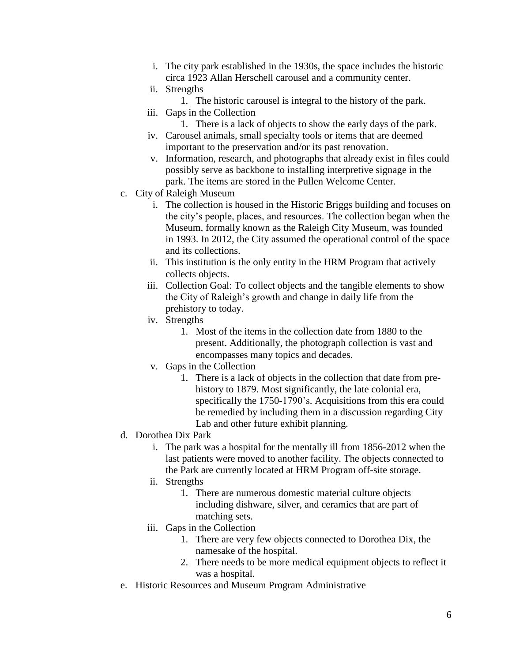- i. The city park established in the 1930s, the space includes the historic circa 1923 Allan Herschell carousel and a community center.
- ii. Strengths
	- 1. The historic carousel is integral to the history of the park.
- iii. Gaps in the Collection
	- 1. There is a lack of objects to show the early days of the park.
- iv. Carousel animals, small specialty tools or items that are deemed important to the preservation and/or its past renovation.
- v. Information, research, and photographs that already exist in files could possibly serve as backbone to installing interpretive signage in the park. The items are stored in the Pullen Welcome Center.
- c. City of Raleigh Museum
	- i. The collection is housed in the Historic Briggs building and focuses on the city's people, places, and resources. The collection began when the Museum, formally known as the Raleigh City Museum, was founded in 1993. In 2012, the City assumed the operational control of the space and its collections.
	- ii. This institution is the only entity in the HRM Program that actively collects objects.
	- iii. Collection Goal: To collect objects and the tangible elements to show the City of Raleigh's growth and change in daily life from the prehistory to today.
	- iv. Strengths
		- 1. Most of the items in the collection date from 1880 to the present. Additionally, the photograph collection is vast and encompasses many topics and decades.
	- v. Gaps in the Collection
		- 1. There is a lack of objects in the collection that date from prehistory to 1879. Most significantly, the late colonial era, specifically the 1750-1790's. Acquisitions from this era could be remedied by including them in a discussion regarding City Lab and other future exhibit planning.
- d. Dorothea Dix Park
	- i. The park was a hospital for the mentally ill from 1856-2012 when the last patients were moved to another facility. The objects connected to the Park are currently located at HRM Program off-site storage.
	- ii. Strengths
		- 1. There are numerous domestic material culture objects including dishware, silver, and ceramics that are part of matching sets.
	- iii. Gaps in the Collection
		- 1. There are very few objects connected to Dorothea Dix, the namesake of the hospital.
		- 2. There needs to be more medical equipment objects to reflect it was a hospital.
- e. Historic Resources and Museum Program Administrative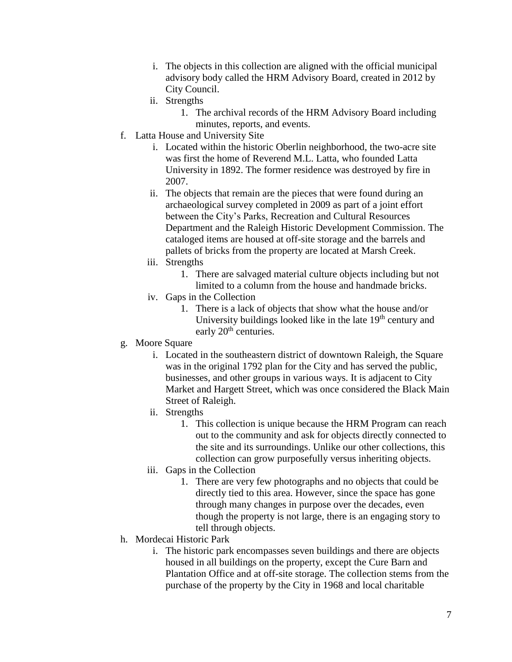- i. The objects in this collection are aligned with the official municipal advisory body called the HRM Advisory Board, created in 2012 by City Council.
- ii. Strengths
	- 1. The archival records of the HRM Advisory Board including minutes, reports, and events.
- f. Latta House and University Site
	- i. Located within the historic Oberlin neighborhood, the two-acre site was first the home of Reverend M.L. Latta, who founded Latta University in 1892. The former residence was destroyed by fire in 2007.
	- ii. The objects that remain are the pieces that were found during an archaeological survey completed in 2009 as part of a joint effort between the City's Parks, Recreation and Cultural Resources Department and the Raleigh Historic Development Commission. The cataloged items are housed at off-site storage and the barrels and pallets of bricks from the property are located at Marsh Creek.
	- iii. Strengths
		- 1. There are salvaged material culture objects including but not limited to a column from the house and handmade bricks.
	- iv. Gaps in the Collection
		- 1. There is a lack of objects that show what the house and/or University buildings looked like in the late  $19<sup>th</sup>$  century and early 20<sup>th</sup> centuries.
- g. Moore Square
	- i. Located in the southeastern district of downtown Raleigh, the Square was in the original 1792 plan for the City and has served the public, businesses, and other groups in various ways. It is adjacent to City Market and Hargett Street, which was once considered the Black Main Street of Raleigh.
	- ii. Strengths
		- 1. This collection is unique because the HRM Program can reach out to the community and ask for objects directly connected to the site and its surroundings. Unlike our other collections, this collection can grow purposefully versus inheriting objects.
	- iii. Gaps in the Collection
		- 1. There are very few photographs and no objects that could be directly tied to this area. However, since the space has gone through many changes in purpose over the decades, even though the property is not large, there is an engaging story to tell through objects.
- h. Mordecai Historic Park
	- i. The historic park encompasses seven buildings and there are objects housed in all buildings on the property, except the Cure Barn and Plantation Office and at off-site storage. The collection stems from the purchase of the property by the City in 1968 and local charitable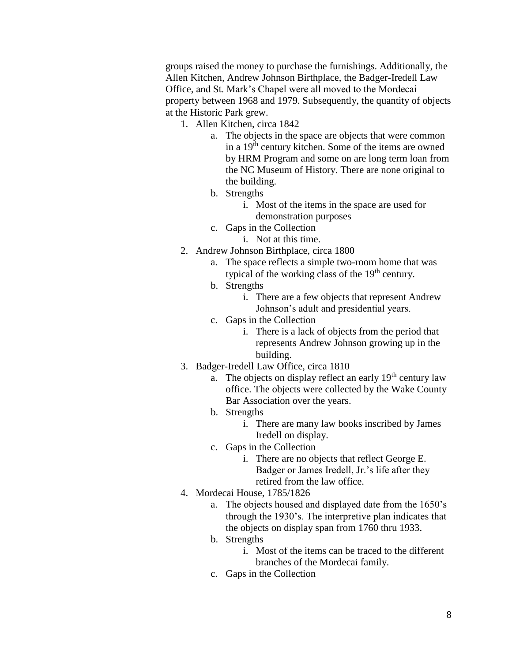groups raised the money to purchase the furnishings. Additionally, the Allen Kitchen, Andrew Johnson Birthplace, the Badger-Iredell Law Office, and St. Mark's Chapel were all moved to the Mordecai property between 1968 and 1979. Subsequently, the quantity of objects at the Historic Park grew.

- 1. Allen Kitchen, circa 1842
	- a. The objects in the space are objects that were common in a 19th century kitchen. Some of the items are owned by HRM Program and some on are long term loan from the NC Museum of History. There are none original to the building.
	- b. Strengths
		- i. Most of the items in the space are used for demonstration purposes
	- c. Gaps in the Collection
		- i. Not at this time.
- 2. Andrew Johnson Birthplace, circa 1800
	- a. The space reflects a simple two-room home that was typical of the working class of the  $19<sup>th</sup>$  century.
	- b. Strengths
		- i. There are a few objects that represent Andrew Johnson's adult and presidential years.
	- c. Gaps in the Collection
		- i. There is a lack of objects from the period that represents Andrew Johnson growing up in the building.
- 3. Badger-Iredell Law Office, circa 1810
	- a. The objects on display reflect an early  $19<sup>th</sup>$  century law office. The objects were collected by the Wake County Bar Association over the years.
	- b. Strengths
		- i. There are many law books inscribed by James Iredell on display.
	- c. Gaps in the Collection
		- i. There are no objects that reflect George E. Badger or James Iredell, Jr.'s life after they retired from the law office.
- 4. Mordecai House, 1785/1826
	- a. The objects housed and displayed date from the 1650's through the 1930's. The interpretive plan indicates that the objects on display span from 1760 thru 1933.
	- b. Strengths
		- i. Most of the items can be traced to the different branches of the Mordecai family.
	- c. Gaps in the Collection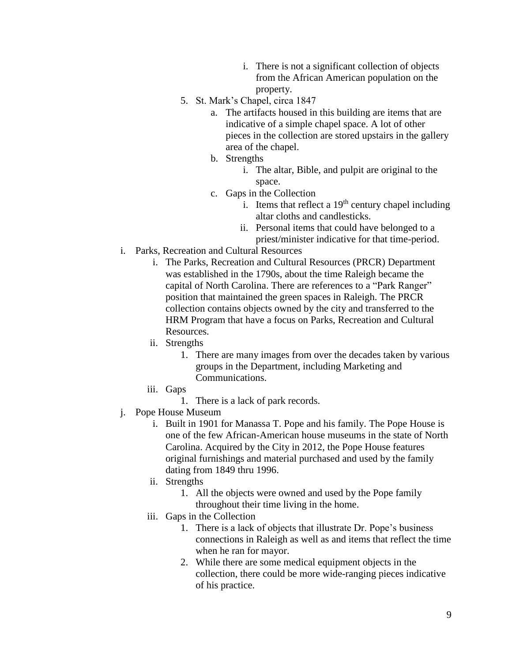- i. There is not a significant collection of objects from the African American population on the property.
- 5. St. Mark's Chapel, circa 1847
	- a. The artifacts housed in this building are items that are indicative of a simple chapel space. A lot of other pieces in the collection are stored upstairs in the gallery area of the chapel.
	- b. Strengths
		- i. The altar, Bible, and pulpit are original to the space.
	- c. Gaps in the Collection
		- i. Items that reflect a  $19<sup>th</sup>$  century chapel including altar cloths and candlesticks.
		- ii. Personal items that could have belonged to a priest/minister indicative for that time-period.
- i. Parks, Recreation and Cultural Resources
	- i. The Parks, Recreation and Cultural Resources (PRCR) Department was established in the 1790s, about the time Raleigh became the capital of North Carolina. There are references to a "Park Ranger" position that maintained the green spaces in Raleigh. The PRCR collection contains objects owned by the city and transferred to the HRM Program that have a focus on Parks, Recreation and Cultural Resources.
	- ii. Strengths
		- 1. There are many images from over the decades taken by various groups in the Department, including Marketing and Communications.
	- iii. Gaps
		- 1. There is a lack of park records.
- j. Pope House Museum
	- i. Built in 1901 for Manassa T. Pope and his family. The Pope House is one of the few African-American house museums in the state of North Carolina. Acquired by the City in 2012, the Pope House features original furnishings and material purchased and used by the family dating from 1849 thru 1996.
	- ii. Strengths
		- 1. All the objects were owned and used by the Pope family throughout their time living in the home.
	- iii. Gaps in the Collection
		- 1. There is a lack of objects that illustrate Dr. Pope's business connections in Raleigh as well as and items that reflect the time when he ran for mayor.
		- 2. While there are some medical equipment objects in the collection, there could be more wide-ranging pieces indicative of his practice.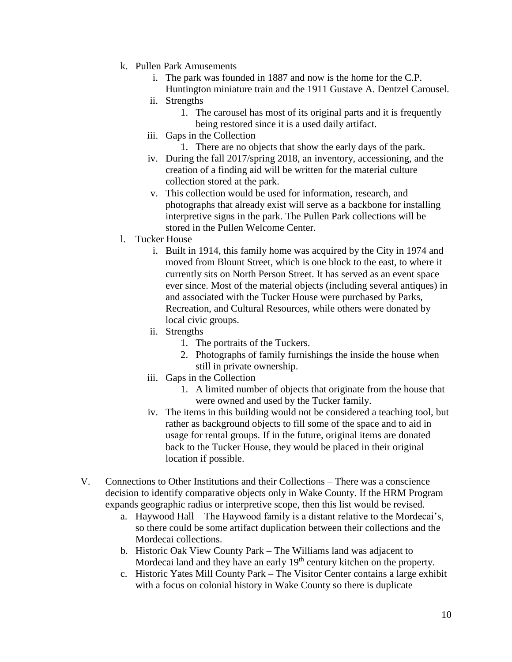- k. Pullen Park Amusements
	- i. The park was founded in 1887 and now is the home for the C.P. Huntington miniature train and the 1911 Gustave A. Dentzel Carousel.
	- ii. Strengths
		- 1. The carousel has most of its original parts and it is frequently being restored since it is a used daily artifact.
	- iii. Gaps in the Collection
		- 1. There are no objects that show the early days of the park.
	- iv. During the fall 2017/spring 2018, an inventory, accessioning, and the creation of a finding aid will be written for the material culture collection stored at the park.
	- v. This collection would be used for information, research, and photographs that already exist will serve as a backbone for installing interpretive signs in the park. The Pullen Park collections will be stored in the Pullen Welcome Center.
- l. Tucker House
	- i. Built in 1914, this family home was acquired by the City in 1974 and moved from Blount Street, which is one block to the east, to where it currently sits on North Person Street. It has served as an event space ever since. Most of the material objects (including several antiques) in and associated with the Tucker House were purchased by Parks, Recreation, and Cultural Resources, while others were donated by local civic groups.
	- ii. Strengths
		- 1. The portraits of the Tuckers.
		- 2. Photographs of family furnishings the inside the house when still in private ownership.
	- iii. Gaps in the Collection
		- 1. A limited number of objects that originate from the house that were owned and used by the Tucker family.
	- iv. The items in this building would not be considered a teaching tool, but rather as background objects to fill some of the space and to aid in usage for rental groups. If in the future, original items are donated back to the Tucker House, they would be placed in their original location if possible.
- V. Connections to Other Institutions and their Collections There was a conscience decision to identify comparative objects only in Wake County. If the HRM Program expands geographic radius or interpretive scope, then this list would be revised.
	- a. Haywood Hall The Haywood family is a distant relative to the Mordecai's, so there could be some artifact duplication between their collections and the Mordecai collections.
	- b. Historic Oak View County Park The Williams land was adjacent to Mordecai land and they have an early 19<sup>th</sup> century kitchen on the property.
	- c. Historic Yates Mill County Park The Visitor Center contains a large exhibit with a focus on colonial history in Wake County so there is duplicate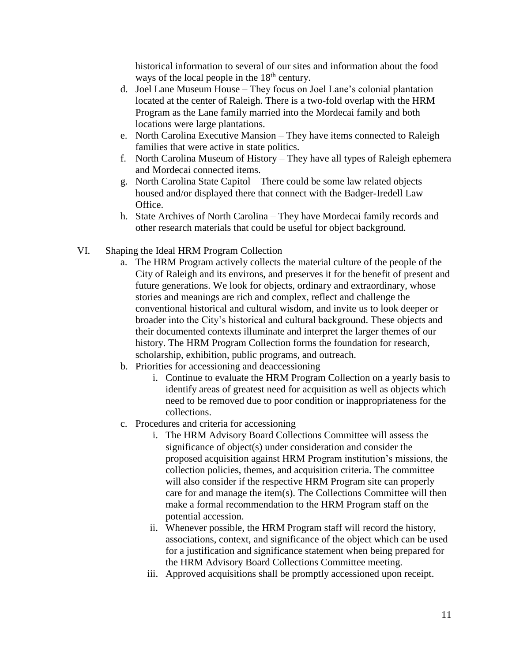historical information to several of our sites and information about the food ways of the local people in the  $18<sup>th</sup>$  century.

- d. Joel Lane Museum House They focus on Joel Lane's colonial plantation located at the center of Raleigh. There is a two-fold overlap with the HRM Program as the Lane family married into the Mordecai family and both locations were large plantations.
- e. North Carolina Executive Mansion They have items connected to Raleigh families that were active in state politics.
- f. North Carolina Museum of History They have all types of Raleigh ephemera and Mordecai connected items.
- g. North Carolina State Capitol There could be some law related objects housed and/or displayed there that connect with the Badger-Iredell Law Office.
- h. State Archives of North Carolina They have Mordecai family records and other research materials that could be useful for object background.
- VI. Shaping the Ideal HRM Program Collection
	- a. The HRM Program actively collects the material culture of the people of the City of Raleigh and its environs, and preserves it for the benefit of present and future generations. We look for objects, ordinary and extraordinary, whose stories and meanings are rich and complex, reflect and challenge the conventional historical and cultural wisdom, and invite us to look deeper or broader into the City's historical and cultural background. These objects and their documented contexts illuminate and interpret the larger themes of our history. The HRM Program Collection forms the foundation for research, scholarship, exhibition, public programs, and outreach.
	- b. Priorities for accessioning and deaccessioning
		- i. Continue to evaluate the HRM Program Collection on a yearly basis to identify areas of greatest need for acquisition as well as objects which need to be removed due to poor condition or inappropriateness for the collections.
	- c. Procedures and criteria for accessioning
		- i. The HRM Advisory Board Collections Committee will assess the significance of object(s) under consideration and consider the proposed acquisition against HRM Program institution's missions, the collection policies, themes, and acquisition criteria. The committee will also consider if the respective HRM Program site can properly care for and manage the item(s). The Collections Committee will then make a formal recommendation to the HRM Program staff on the potential accession.
		- ii. Whenever possible, the HRM Program staff will record the history, associations, context, and significance of the object which can be used for a justification and significance statement when being prepared for the HRM Advisory Board Collections Committee meeting.
		- iii. Approved acquisitions shall be promptly accessioned upon receipt.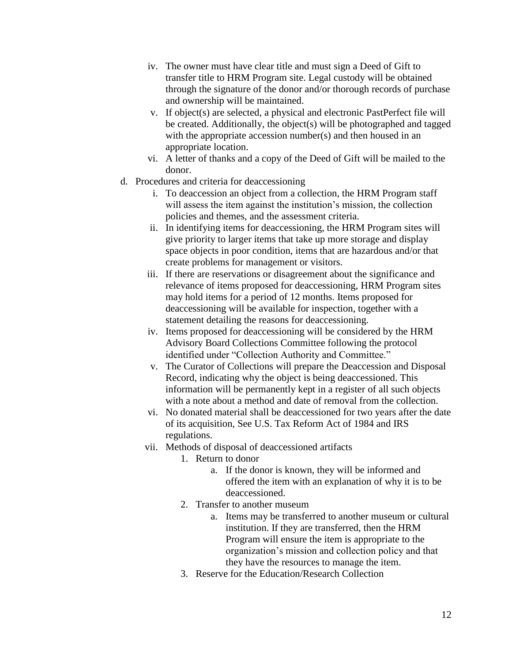- iv. The owner must have clear title and must sign a Deed of Gift to transfer title to HRM Program site. Legal custody will be obtained through the signature of the donor and/or thorough records of purchase and ownership will be maintained.
- v. If object(s) are selected, a physical and electronic PastPerfect file will be created. Additionally, the object(s) will be photographed and tagged with the appropriate accession number(s) and then housed in an appropriate location.
- vi. A letter of thanks and a copy of the Deed of Gift will be mailed to the donor.
- d. Procedures and criteria for deaccessioning
	- i. To deaccession an object from a collection, the HRM Program staff will assess the item against the institution's mission, the collection policies and themes, and the assessment criteria.
	- ii. In identifying items for deaccessioning, the HRM Program sites will give priority to larger items that take up more storage and display space objects in poor condition, items that are hazardous and/or that create problems for management or visitors.
	- iii. If there are reservations or disagreement about the significance and relevance of items proposed for deaccessioning, HRM Program sites may hold items for a period of 12 months. Items proposed for deaccessioning will be available for inspection, together with a statement detailing the reasons for deaccessioning.
	- iv. Items proposed for deaccessioning will be considered by the HRM Advisory Board Collections Committee following the protocol identified under "Collection Authority and Committee."
	- v. The Curator of Collections will prepare the Deaccession and Disposal Record, indicating why the object is being deaccessioned. This information will be permanently kept in a register of all such objects with a note about a method and date of removal from the collection.
	- vi. No donated material shall be deaccessioned for two years after the date of its acquisition, See U.S. Tax Reform Act of 1984 and IRS regulations.
	- vii. Methods of disposal of deaccessioned artifacts
		- 1. Return to donor
			- a. If the donor is known, they will be informed and offered the item with an explanation of why it is to be deaccessioned.
		- 2. Transfer to another museum
			- a. Items may be transferred to another museum or cultural institution. If they are transferred, then the HRM Program will ensure the item is appropriate to the organization's mission and collection policy and that they have the resources to manage the item.
		- 3. Reserve for the Education/Research Collection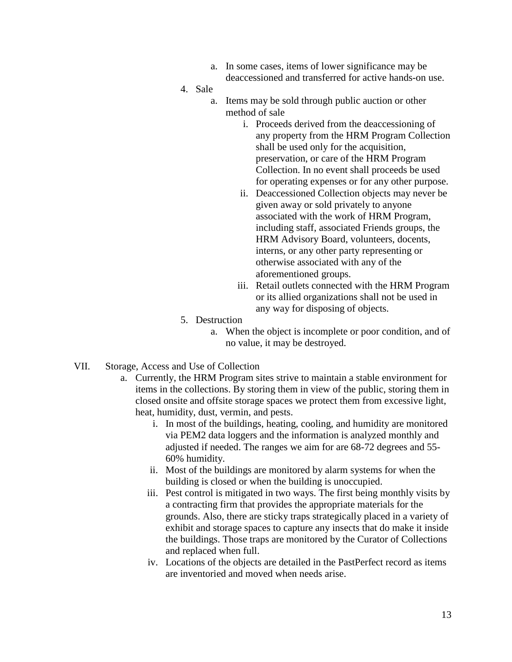- a. In some cases, items of lower significance may be deaccessioned and transferred for active hands-on use.
- 4. Sale
	- a. Items may be sold through public auction or other method of sale
		- i. Proceeds derived from the deaccessioning of any property from the HRM Program Collection shall be used only for the acquisition, preservation, or care of the HRM Program Collection. In no event shall proceeds be used for operating expenses or for any other purpose.
		- ii. Deaccessioned Collection objects may never be given away or sold privately to anyone associated with the work of HRM Program, including staff, associated Friends groups, the HRM Advisory Board, volunteers, docents, interns, or any other party representing or otherwise associated with any of the aforementioned groups.
		- iii. Retail outlets connected with the HRM Program or its allied organizations shall not be used in any way for disposing of objects.
- 5. Destruction
	- a. When the object is incomplete or poor condition, and of no value, it may be destroyed.
- VII. Storage, Access and Use of Collection
	- a. Currently, the HRM Program sites strive to maintain a stable environment for items in the collections. By storing them in view of the public, storing them in closed onsite and offsite storage spaces we protect them from excessive light, heat, humidity, dust, vermin, and pests.
		- i. In most of the buildings, heating, cooling, and humidity are monitored via PEM2 data loggers and the information is analyzed monthly and adjusted if needed. The ranges we aim for are 68-72 degrees and 55- 60% humidity.
		- ii. Most of the buildings are monitored by alarm systems for when the building is closed or when the building is unoccupied.
		- iii. Pest control is mitigated in two ways. The first being monthly visits by a contracting firm that provides the appropriate materials for the grounds. Also, there are sticky traps strategically placed in a variety of exhibit and storage spaces to capture any insects that do make it inside the buildings. Those traps are monitored by the Curator of Collections and replaced when full.
		- iv. Locations of the objects are detailed in the PastPerfect record as items are inventoried and moved when needs arise.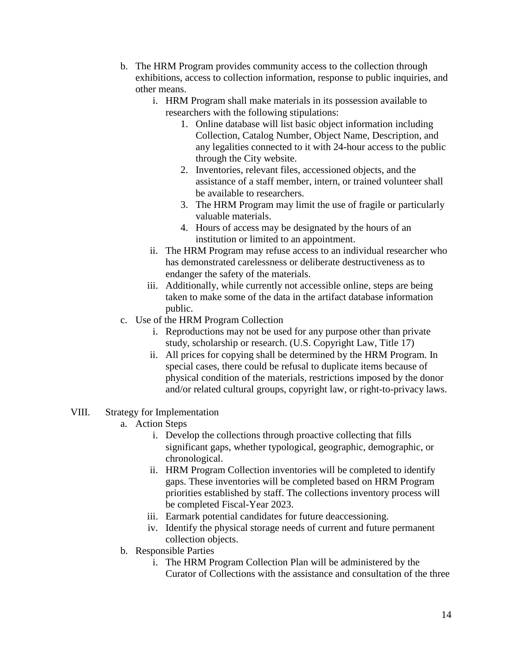- b. The HRM Program provides community access to the collection through exhibitions, access to collection information, response to public inquiries, and other means.
	- i. HRM Program shall make materials in its possession available to researchers with the following stipulations:
		- 1. Online database will list basic object information including Collection, Catalog Number, Object Name, Description, and any legalities connected to it with 24-hour access to the public through the City website.
		- 2. Inventories, relevant files, accessioned objects, and the assistance of a staff member, intern, or trained volunteer shall be available to researchers.
		- 3. The HRM Program may limit the use of fragile or particularly valuable materials.
		- 4. Hours of access may be designated by the hours of an institution or limited to an appointment.
	- ii. The HRM Program may refuse access to an individual researcher who has demonstrated carelessness or deliberate destructiveness as to endanger the safety of the materials.
	- iii. Additionally, while currently not accessible online, steps are being taken to make some of the data in the artifact database information public.
- c. Use of the HRM Program Collection
	- i. Reproductions may not be used for any purpose other than private study, scholarship or research. (U.S. Copyright Law, Title 17)
	- ii. All prices for copying shall be determined by the HRM Program. In special cases, there could be refusal to duplicate items because of physical condition of the materials, restrictions imposed by the donor and/or related cultural groups, copyright law, or right-to-privacy laws.
- VIII. Strategy for Implementation
	- a. Action Steps
		- i. Develop the collections through proactive collecting that fills significant gaps, whether typological, geographic, demographic, or chronological.
		- ii. HRM Program Collection inventories will be completed to identify gaps. These inventories will be completed based on HRM Program priorities established by staff. The collections inventory process will be completed Fiscal-Year 2023.
		- iii. Earmark potential candidates for future deaccessioning.
		- iv. Identify the physical storage needs of current and future permanent collection objects.
	- b. Responsible Parties
		- i. The HRM Program Collection Plan will be administered by the Curator of Collections with the assistance and consultation of the three